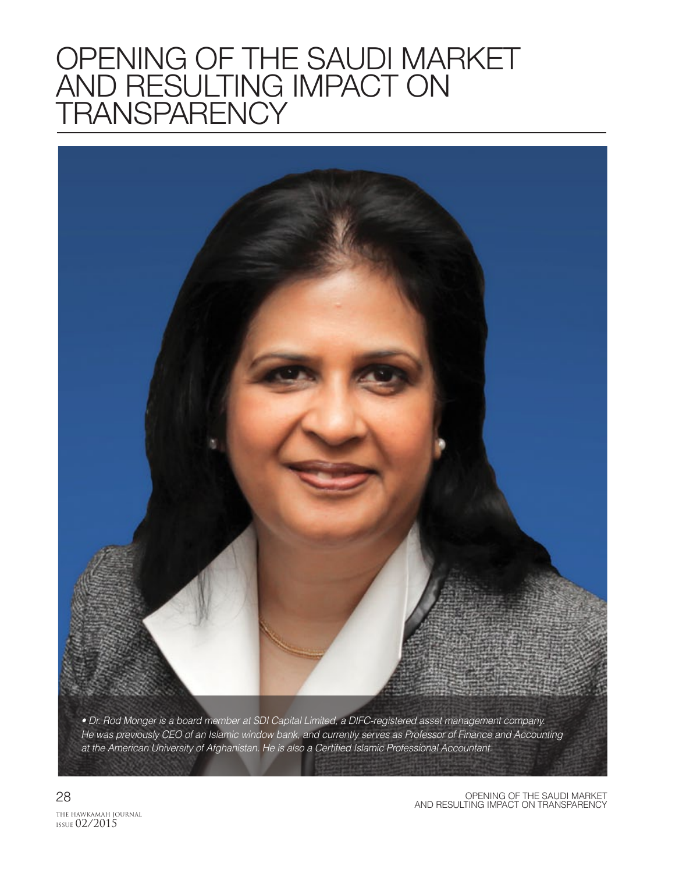## OPENING OF THE SAUDI MARKET AND RESULTING IMPACT ON TRANSPARENCY

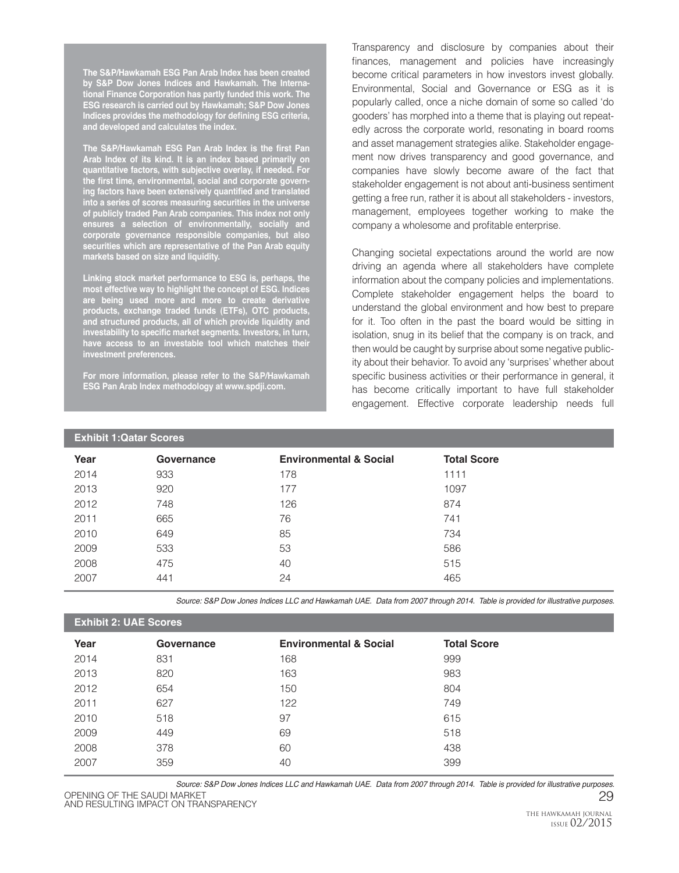**The S&P/Hawkamah ESG Pan Arab Index has been created by S&P Dow Jones Indices and Hawkamah. The International Finance Corporation has partly funded this work. The ESG research is carried out by Hawkamah; S&P Dow Jones Indices provides the methodology for defining ESG criteria, and developed and calculates the index.**

**The S&P/Hawkamah ESG Pan Arab Index is the first Pan Arab Index of its kind. It is an index based primarily on quantitative factors, with subjective overlay, if needed. For the first time, environmental, social and corporate governing factors have been extensively quantified and translated into a series of scores measuring securities in the universe of publicly traded Pan Arab companies. This index not only ensures a selection of environmentally, socially and corporate governance responsible companies, but also securities which are representative of the Pan Arab equity markets based on size and liquidity.**

**Linking stock market performance to ESG is, perhaps, the most effective way to highlight the concept of ESG. Indices are being used more and more to create derivative products, exchange traded funds (ETFs), OTC products, and structured products, all of which provide liquidity and investability to specific market segments. Investors, in turn, have access to an investable tool which matches their investment preferences.**

**For more information, please refer to the S&P/Hawkamah ESG Pan Arab Index methodology at www.spdji.com.**

Transparency and disclosure by companies about their finances, management and policies have increasingly become critical parameters in how investors invest globally. Environmental, Social and Governance or ESG as it is popularly called, once a niche domain of some so called 'do gooders' has morphed into a theme that is playing out repeatedly across the corporate world, resonating in board rooms and asset management strategies alike. Stakeholder engagement now drives transparency and good governance, and companies have slowly become aware of the fact that stakeholder engagement is not about anti-business sentiment getting a free run, rather it is about all stakeholders - investors, management, employees together working to make the company a wholesome and profitable enterprise.

Changing societal expectations around the world are now driving an agenda where all stakeholders have complete information about the company policies and implementations. Complete stakeholder engagement helps the board to understand the global environment and how best to prepare for it. Too often in the past the board would be sitting in isolation, snug in its belief that the company is on track, and then would be caught by surprise about some negative publicity about their behavior. To avoid any 'surprises' whether about specific business activities or their performance in general, it has become critically important to have full stakeholder engagement. Effective corporate leadership needs full

| <b>Exhibit 1: Qatar Scores</b> |            |                                   |                    |  |
|--------------------------------|------------|-----------------------------------|--------------------|--|
| Year                           | Governance | <b>Environmental &amp; Social</b> | <b>Total Score</b> |  |
| 2014                           | 933        | 178                               | 1111               |  |
| 2013                           | 920        | 177                               | 1097               |  |
| 2012                           | 748        | 126                               | 874                |  |
| 2011                           | 665        | 76                                | 741                |  |
| 2010                           | 649        | 85                                | 734                |  |
| 2009                           | 533        | 53                                | 586                |  |
| 2008                           | 475        | 40                                | 515                |  |
| 2007                           | 441        | 24                                | 465                |  |

Source: S&P Dow Jones Indices LLC and Hawkamah UAE. Data from 2007 through 2014. Table is provided for illustrative purposes.

## **Exhibit 2: UAE Scores**

| Year | Governance | <b>Environmental &amp; Social</b> | <b>Total Score</b> |
|------|------------|-----------------------------------|--------------------|
| 2014 | 831        | 168                               | 999                |
| 2013 | 820        | 163                               | 983                |
| 2012 | 654        | 150                               | 804                |
| 2011 | 627        | 122                               | 749                |
| 2010 | 518        | 97                                | 615                |
| 2009 | 449        | 69                                | 518                |
| 2008 | 378        | 60                                | 438                |
| 2007 | 359        | 40                                | 399                |

OPENING OF THE SAUDI MARKET 29 AND RESULTING IMPACT ON TRANSPARENCY AND RESULTING IMPACT ON TRANSPARENCY Source: S&P Dow Jones Indices LLC and Hawkamah UAE. Data from 2007 through 2014. Table is provided for illustrative purposes.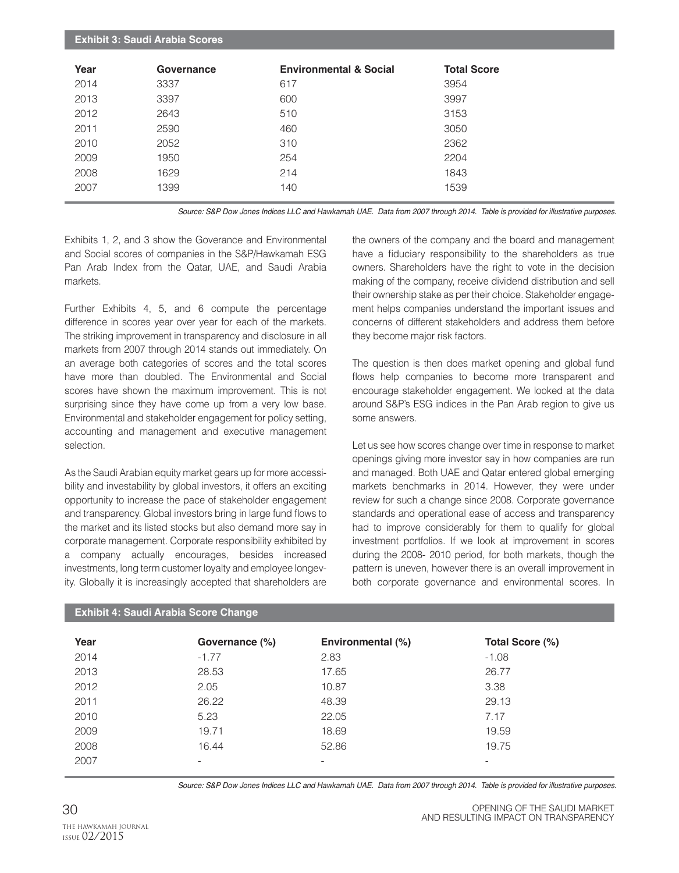| <b>Exhibit 3: Saudi Arabia Scores</b> |            |                                   |                    |  |
|---------------------------------------|------------|-----------------------------------|--------------------|--|
| Year                                  | Governance | <b>Environmental &amp; Social</b> | <b>Total Score</b> |  |
| 2014                                  | 3337       | 617                               | 3954               |  |
| 2013                                  | 3397       | 600                               | 3997               |  |
| 2012                                  | 2643       | 510                               | 3153               |  |
| 2011                                  | 2590       | 460                               | 3050               |  |
| 2010                                  | 2052       | 310                               | 2362               |  |
| 2009                                  | 1950       | 254                               | 2204               |  |
| 2008                                  | 1629       | 214                               | 1843               |  |
| 2007                                  | 1399       | 140                               | 1539               |  |
|                                       |            |                                   |                    |  |

Source: S&P Dow Jones Indices LLC and Hawkamah UAE. Data from 2007 through 2014. Table is provided for illustrative purposes.

Exhibits 1, 2, and 3 show the Goverance and Environmental and Social scores of companies in the S&P/Hawkamah ESG Pan Arab Index from the Qatar, UAE, and Saudi Arabia markets.

Further Exhibits 4, 5, and 6 compute the percentage difference in scores year over year for each of the markets. The striking improvement in transparency and disclosure in all markets from 2007 through 2014 stands out immediately. On an average both categories of scores and the total scores have more than doubled. The Environmental and Social scores have shown the maximum improvement. This is not surprising since they have come up from a very low base. Environmental and stakeholder engagement for policy setting, accounting and management and executive management selection.

As the Saudi Arabian equity market gears up for more accessibility and investability by global investors, it offers an exciting opportunity to increase the pace of stakeholder engagement and transparency. Global investors bring in large fund flows to the market and its listed stocks but also demand more say in corporate management. Corporate responsibility exhibited by a company actually encourages, besides increased investments, long term customer loyalty and employee longevity. Globally it is increasingly accepted that shareholders are

the owners of the company and the board and management have a fiduciary responsibility to the shareholders as true owners. Shareholders have the right to vote in the decision making of the company, receive dividend distribution and sell their ownership stake as per their choice. Stakeholder engagement helps companies understand the important issues and concerns of different stakeholders and address them before they become major risk factors.

The question is then does market opening and global fund flows help companies to become more transparent and encourage stakeholder engagement. We looked at the data around S&P's ESG indices in the Pan Arab region to give us some answers.

Let us see how scores change over time in response to market openings giving more investor say in how companies are run and managed. Both UAE and Qatar entered global emerging markets benchmarks in 2014. However, they were under review for such a change since 2008. Corporate governance standards and operational ease of access and transparency had to improve considerably for them to qualify for global investment portfolios. If we look at improvement in scores during the 2008- 2010 period, for both markets, though the pattern is uneven, however there is an overall improvement in both corporate governance and environmental scores. In

| Year | Governance (%) | Environmental (%) | Total Score (%)          |
|------|----------------|-------------------|--------------------------|
| 2014 | $-1.77$        | 2.83              | $-1.08$                  |
| 2013 | 28.53          | 17.65             | 26.77                    |
| 2012 | 2.05           | 10.87             | 3.38                     |
| 2011 | 26.22          | 48.39             | 29.13                    |
| 2010 | 5.23           | 22.05             | 7.17                     |
| 2009 | 19.71          | 18.69             | 19.59                    |
| 2008 | 16.44          | 52.86             | 19.75                    |
| 2007 | -              | -                 | $\overline{\phantom{0}}$ |

**Exhibit 4: Saudi Arabia Score Change**

Source: S&P Dow Jones Indices LLC and Hawkamah UAE. Data from 2007 through 2014. Table is provided for illustrative purposes.